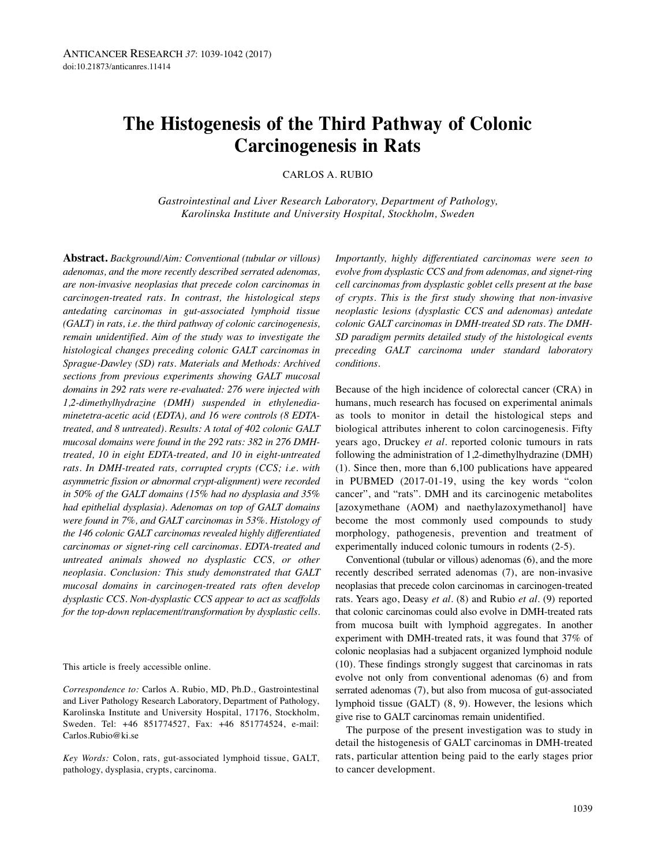# **The Histogenesis of the Third Pathway of Colonic Carcinogenesis in Rats**

CARLOS A. RUBIO

*Gastrointestinal and Liver Research Laboratory, Department of Pathology, Karolinska Institute and University Hospital, Stockholm, Sweden*

**Abstract.** *Background/Aim: Conventional (tubular or villous) adenomas, and the more recently described serrated adenomas, are non-invasive neoplasias that precede colon carcinomas in carcinogen-treated rats. In contrast, the histological steps antedating carcinomas in gut-associated lymphoid tissue (GALT) in rats, i.e. the third pathway of colonic carcinogenesis, remain unidentified. Aim of the study was to investigate the histological changes preceding colonic GALT carcinomas in Sprague-Dawley (SD) rats. Materials and Methods: Archived sections from previous experiments showing GALT mucosal domains in 292 rats were re-evaluated: 276 were injected with 1,2-dimethylhydrazine (DMH) suspended in ethylenediaminetetra-acetic acid (EDTA), and 16 were controls (8 EDTAtreated, and 8 untreated). Results: A total of 402 colonic GALT mucosal domains were found in the 292 rats: 382 in 276 DMHtreated, 10 in eight EDTA-treated, and 10 in eight-untreated rats. In DMH-treated rats, corrupted crypts (CCS; i.e. with asymmetric fission or abnormal crypt-alignment) were recorded in 50% of the GALT domains (15% had no dysplasia and 35% had epithelial dysplasia). Adenomas on top of GALT domains were found in 7%, and GALT carcinomas in 53%. Histology of the 146 colonic GALT carcinomas revealed highly differentiated carcinomas or signet-ring cell carcinomas. EDTA-treated and untreated animals showed no dysplastic CCS, or other neoplasia. Conclusion: This study demonstrated that GALT mucosal domains in carcinogen-treated rats often develop dysplastic CCS. Non-dysplastic CCS appear to act as scaffolds for the top-down replacement/transformation by dysplastic cells.*

This article is freely accessible online.

*Correspondence to:* Carlos A. Rubio, MD, Ph.D., Gastrointestinal and Liver Pathology Research Laboratory, Department of Pathology, Karolinska Institute and University Hospital, 17176, Stockholm, Sweden. Tel: +46 851774527, Fax: +46 851774524, e-mail: Carlos.Rubio@ki.se

*Key Words:* Colon, rats, gut-associated lymphoid tissue, GALT, pathology, dysplasia, crypts, carcinoma.

*Importantly, highly differentiated carcinomas were seen to evolve from dysplastic CCS and from adenomas, and signet-ring cell carcinomas from dysplastic goblet cells present at the base of crypts. This is the first study showing that non-invasive neoplastic lesions (dysplastic CCS and adenomas) antedate colonic GALT carcinomas in DMH-treated SD rats. The DMH-SD paradigm permits detailed study of the histological events preceding GALT carcinoma under standard laboratory conditions.*

Because of the high incidence of colorectal cancer (CRA) in humans, much research has focused on experimental animals as tools to monitor in detail the histological steps and biological attributes inherent to colon carcinogenesis. Fifty years ago, Druckey *et al.* reported colonic tumours in rats following the administration of 1,2-dimethylhydrazine (DMH) (1). Since then, more than 6,100 publications have appeared in PUBMED (2017-01-19, using the key words "colon cancer", and "rats". DMH and its carcinogenic metabolites [azoxymethane (AOM) and naethylazoxymethanol] have become the most commonly used compounds to study morphology, pathogenesis, prevention and treatment of experimentally induced colonic tumours in rodents (2-5).

Conventional (tubular or villous) adenomas (6), and the more recently described serrated adenomas (7), are non-invasive neoplasias that precede colon carcinomas in carcinogen-treated rats. Years ago, Deasy *et al.* (8) and Rubio *et al.* (9) reported that colonic carcinomas could also evolve in DMH-treated rats from mucosa built with lymphoid aggregates. In another experiment with DMH-treated rats, it was found that 37% of colonic neoplasias had a subjacent organized lymphoid nodule (10). These findings strongly suggest that carcinomas in rats evolve not only from conventional adenomas (6) and from serrated adenomas (7), but also from mucosa of gut-associated lymphoid tissue (GALT) (8, 9). However, the lesions which give rise to GALT carcinomas remain unidentified.

The purpose of the present investigation was to study in detail the histogenesis of GALT carcinomas in DMH-treated rats, particular attention being paid to the early stages prior to cancer development.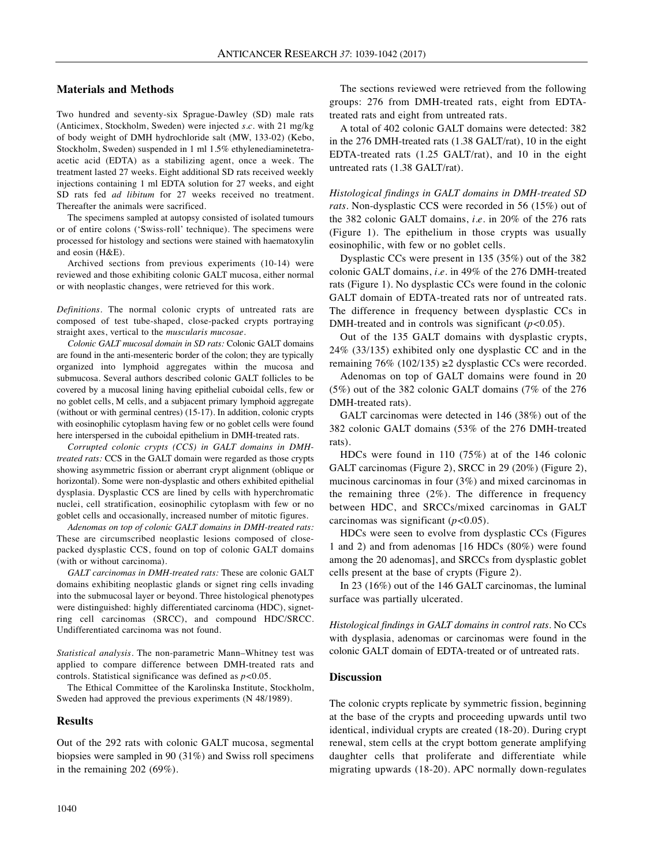### **Materials and Methods**

Two hundred and seventy-six Sprague-Dawley (SD) male rats (Anticimex, Stockholm, Sweden) were injected *s.c.* with 21 mg/kg of body weight of DMH hydrochloride salt (MW, 133-02) (Kebo, Stockholm, Sweden) suspended in 1 ml 1.5% ethylenediaminetetraacetic acid (EDTA) as a stabilizing agent, once a week. The treatment lasted 27 weeks. Eight additional SD rats received weekly injections containing 1 ml EDTA solution for 27 weeks, and eight SD rats fed *ad libitum* for 27 weeks received no treatment. Thereafter the animals were sacrificed.

The specimens sampled at autopsy consisted of isolated tumours or of entire colons ('Swiss-roll' technique). The specimens were processed for histology and sections were stained with haematoxylin and eosin (H&E).

Archived sections from previous experiments (10-14) were reviewed and those exhibiting colonic GALT mucosa, either normal or with neoplastic changes, were retrieved for this work.

*Definitions.* The normal colonic crypts of untreated rats are composed of test tube-shaped, close-packed crypts portraying straight axes, vertical to the *muscularis mucosae*.

*Colonic GALT mucosal domain in SD rats:* Colonic GALT domains are found in the anti-mesenteric border of the colon; they are typically organized into lymphoid aggregates within the mucosa and submucosa. Several authors described colonic GALT follicles to be covered by a mucosal lining having epithelial cuboidal cells, few or no goblet cells, M cells, and a subjacent primary lymphoid aggregate (without or with germinal centres) (15-17). In addition, colonic crypts with eosinophilic cytoplasm having few or no goblet cells were found here interspersed in the cuboidal epithelium in DMH-treated rats.

*Corrupted colonic crypts (CCS) in GALT domains in DMHtreated rats:* CCS in the GALT domain were regarded as those crypts showing asymmetric fission or aberrant crypt alignment (oblique or horizontal). Some were non-dysplastic and others exhibited epithelial dysplasia. Dysplastic CCS are lined by cells with hyperchromatic nuclei, cell stratification, eosinophilic cytoplasm with few or no goblet cells and occasionally, increased number of mitotic figures.

*Adenomas on top of colonic GALT domains in DMH-treated rats:* These are circumscribed neoplastic lesions composed of closepacked dysplastic CCS, found on top of colonic GALT domains (with or without carcinoma).

*GALT carcinomas in DMH-treated rats:* These are colonic GALT domains exhibiting neoplastic glands or signet ring cells invading into the submucosal layer or beyond. Three histological phenotypes were distinguished: highly differentiated carcinoma (HDC), signetring cell carcinomas (SRCC), and compound HDC/SRCC. Undifferentiated carcinoma was not found.

*Statistical analysis.* The non-parametric Mann–Whitney test was applied to compare difference between DMH-treated rats and controls. Statistical significance was defined as *p<*0.05.

The Ethical Committee of the Karolinska Institute, Stockholm, Sweden had approved the previous experiments (N 48/1989).

## **Results**

Out of the 292 rats with colonic GALT mucosa, segmental biopsies were sampled in 90 (31%) and Swiss roll specimens in the remaining 202 (69%).

The sections reviewed were retrieved from the following groups: 276 from DMH-treated rats, eight from EDTAtreated rats and eight from untreated rats.

A total of 402 colonic GALT domains were detected: 382 in the 276 DMH-treated rats (1.38 GALT/rat), 10 in the eight EDTA-treated rats (1.25 GALT/rat), and 10 in the eight untreated rats (1.38 GALT/rat).

*Histological findings in GALT domains in DMH-treated SD rats.* Non-dysplastic CCS were recorded in 56 (15%) out of the 382 colonic GALT domains, *i.e.* in 20% of the 276 rats (Figure 1). The epithelium in those crypts was usually eosinophilic, with few or no goblet cells.

Dysplastic CCs were present in 135 (35%) out of the 382 colonic GALT domains, *i.e.* in 49% of the 276 DMH-treated rats (Figure 1). No dysplastic CCs were found in the colonic GALT domain of EDTA-treated rats nor of untreated rats. The difference in frequency between dysplastic CCs in DMH-treated and in controls was significant (*p<*0.05).

Out of the 135 GALT domains with dysplastic crypts, 24% (33/135) exhibited only one dysplastic CC and in the remaining 76% (102/135) ≥2 dysplastic CCs were recorded.

Adenomas on top of GALT domains were found in 20 (5%) out of the 382 colonic GALT domains (7% of the 276 DMH-treated rats).

GALT carcinomas were detected in 146 (38%) out of the 382 colonic GALT domains (53% of the 276 DMH-treated rats).

HDCs were found in 110 (75%) at of the 146 colonic GALT carcinomas (Figure 2), SRCC in 29 (20%) (Figure 2), mucinous carcinomas in four (3%) and mixed carcinomas in the remaining three  $(2\%)$ . The difference in frequency between HDC, and SRCCs/mixed carcinomas in GALT carcinomas was significant (*p<*0.05).

HDCs were seen to evolve from dysplastic CCs (Figures 1 and 2) and from adenomas [16 HDCs (80%) were found among the 20 adenomas], and SRCCs from dysplastic goblet cells present at the base of crypts (Figure 2).

In 23 (16%) out of the 146 GALT carcinomas, the luminal surface was partially ulcerated.

*Histological findings in GALT domains in control rats.* No CCs with dysplasia, adenomas or carcinomas were found in the colonic GALT domain of EDTA-treated or of untreated rats.

### **Discussion**

The colonic crypts replicate by symmetric fission, beginning at the base of the crypts and proceeding upwards until two identical, individual crypts are created (18-20). During crypt renewal, stem cells at the crypt bottom generate amplifying daughter cells that proliferate and differentiate while migrating upwards (18-20). APC normally down-regulates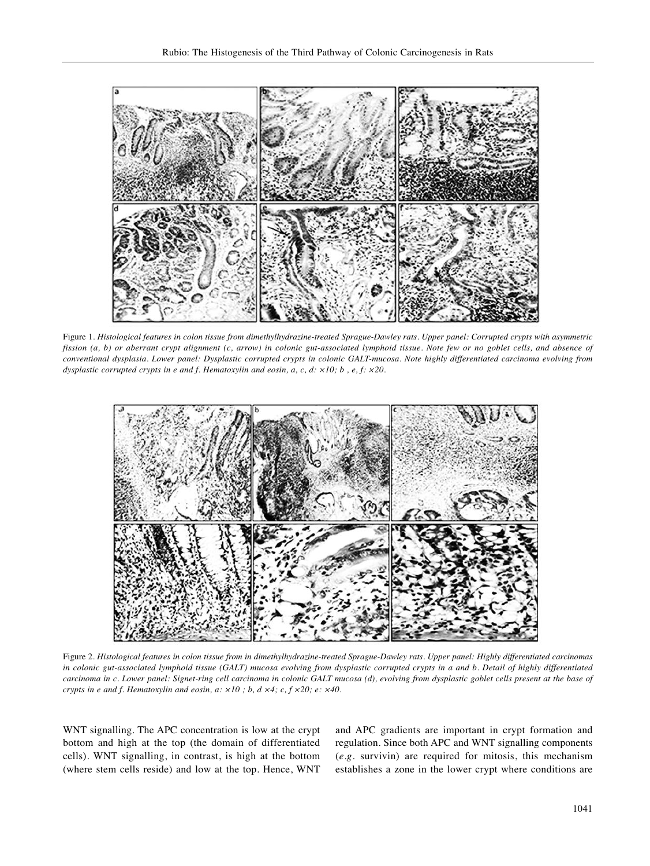

Figure 1. Histological features in colon tissue from dimethylhydrazine-treated Sprague-Dawley rats. Upper panel: Corrupted crypts with asymmetric fission (a, b) or aberrant crypt alignment (c, arrow) in colonic gut-associated lymphoid tissue. Note few or no goblet cells, and absence of conventional dysplasia. Lower panel: Dysplastic corrupted crypts in colonic GALT-mucosa. Note highly differentiated carcinoma evolving from *dysplastic corrupted crypts in e and f. Hematoxylin and eosin, a, c, d: ×10; b , e, f: ×20.*



Figure 2. Histological features in colon tissue from in dimethylhydrazine-treated Sprague-Dawley rats. Upper panel: Highly differentiated carcinomas in colonic gut-associated lymphoid tissue (GALT) mucosa evolving from dysplastic corrupted crypts in a and b. Detail of highly differentiated carcinoma in c. Lower panel: Signet-ring cell carcinoma in colonic GALT mucosa (d), evolving from dysplastic goblet cells present at the base of *crypts in e and f. Hematoxylin and eosin, a: ×10 ; b, d ×4; c, f ×20; e: ×40.*

WNT signalling. The APC concentration is low at the crypt bottom and high at the top (the domain of differentiated cells). WNT signalling, in contrast, is high at the bottom (where stem cells reside) and low at the top. Hence, WNT and APC gradients are important in crypt formation and regulation. Since both APC and WNT signalling components (*e.g.* survivin) are required for mitosis, this mechanism establishes a zone in the lower crypt where conditions are